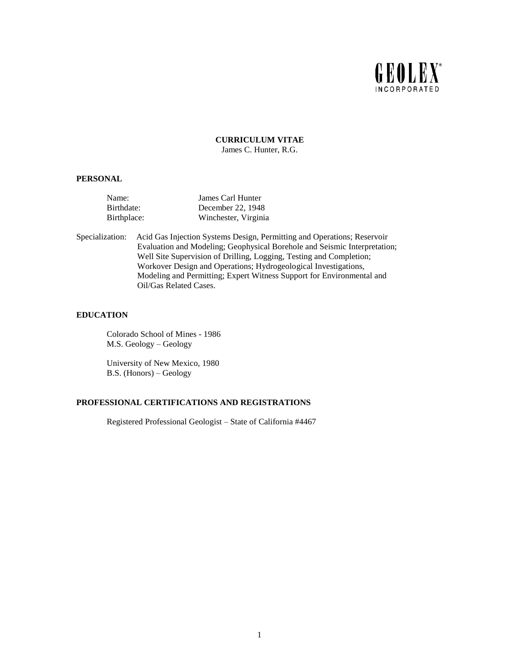

**CURRICULUM VITAE** James C. Hunter, R.G.

#### **PERSONAL**

| Name:       | James Carl Hunter    |
|-------------|----------------------|
| Birthdate:  | December 22, 1948    |
| Birthplace: | Winchester, Virginia |

Specialization: Acid Gas Injection Systems Design, Permitting and Operations; Reservoir Evaluation and Modeling; Geophysical Borehole and Seismic Interpretation; Well Site Supervision of Drilling, Logging, Testing and Completion; Workover Design and Operations; Hydrogeological Investigations, Modeling and Permitting; Expert Witness Support for Environmental and Oil/Gas Related Cases.

#### **EDUCATION**

Colorado School of Mines - 1986 M.S. Geology – Geology

University of New Mexico, 1980 B.S. (Honors) – Geology

# **PROFESSIONAL CERTIFICATIONS AND REGISTRATIONS**

Registered Professional Geologist – State of California #4467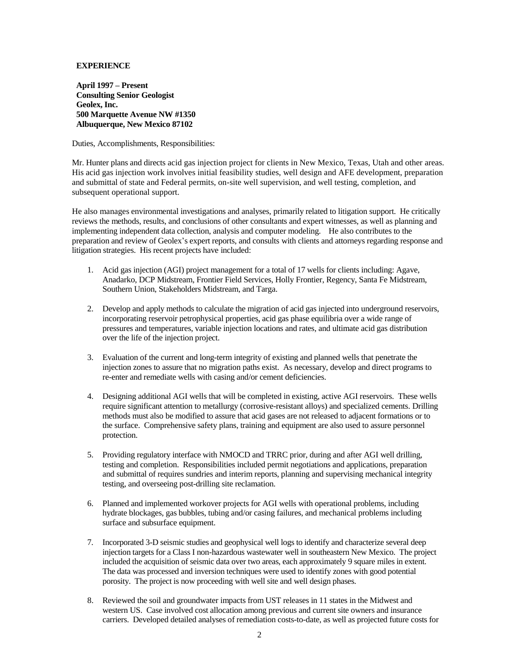# **EXPERIENCE**

**April 1997 – Present Consulting Senior Geologist Geolex, Inc. 500 Marquette Avenue NW #1350 Albuquerque, New Mexico 87102**

Duties, Accomplishments, Responsibilities:

Mr. Hunter plans and directs acid gas injection project for clients in New Mexico, Texas, Utah and other areas. His acid gas injection work involves initial feasibility studies, well design and AFE development, preparation and submittal of state and Federal permits, on-site well supervision, and well testing, completion, and subsequent operational support.

He also manages environmental investigations and analyses, primarily related to litigation support. He critically reviews the methods, results, and conclusions of other consultants and expert witnesses, as well as planning and implementing independent data collection, analysis and computer modeling. He also contributes to the preparation and review of Geolex's expert reports, and consults with clients and attorneys regarding response and litigation strategies. His recent projects have included:

- 1. Acid gas injection (AGI) project management for a total of 17 wells for clients including: Agave, Anadarko, DCP Midstream, Frontier Field Services, Holly Frontier, Regency, Santa Fe Midstream, Southern Union, Stakeholders Midstream, and Targa.
- 2. Develop and apply methods to calculate the migration of acid gas injected into underground reservoirs, incorporating reservoir petrophysical properties, acid gas phase equilibria over a wide range of pressures and temperatures, variable injection locations and rates, and ultimate acid gas distribution over the life of the injection project.
- 3. Evaluation of the current and long-term integrity of existing and planned wells that penetrate the injection zones to assure that no migration paths exist. As necessary, develop and direct programs to re-enter and remediate wells with casing and/or cement deficiencies.
- 4. Designing additional AGI wells that will be completed in existing, active AGI reservoirs. These wells require significant attention to metallurgy (corrosive-resistant alloys) and specialized cements. Drilling methods must also be modified to assure that acid gases are not released to adjacent formations or to the surface. Comprehensive safety plans, training and equipment are also used to assure personnel protection.
- 5. Providing regulatory interface with NMOCD and TRRC prior, during and after AGI well drilling, testing and completion. Responsibilities included permit negotiations and applications, preparation and submittal of requires sundries and interim reports, planning and supervising mechanical integrity testing, and overseeing post-drilling site reclamation.
- 6. Planned and implemented workover projects for AGI wells with operational problems, including hydrate blockages, gas bubbles, tubing and/or casing failures, and mechanical problems including surface and subsurface equipment.
- 7. Incorporated 3-D seismic studies and geophysical well logs to identify and characterize several deep injection targets for a Class I non-hazardous wastewater well in southeastern New Mexico. The project included the acquisition of seismic data over two areas, each approximately 9 square miles in extent. The data was processed and inversion techniques were used to identify zones with good potential porosity. The project is now proceeding with well site and well design phases.
- 8. Reviewed the soil and groundwater impacts from UST releases in 11 states in the Midwest and western US. Case involved cost allocation among previous and current site owners and insurance carriers. Developed detailed analyses of remediation costs-to-date, as well as projected future costs for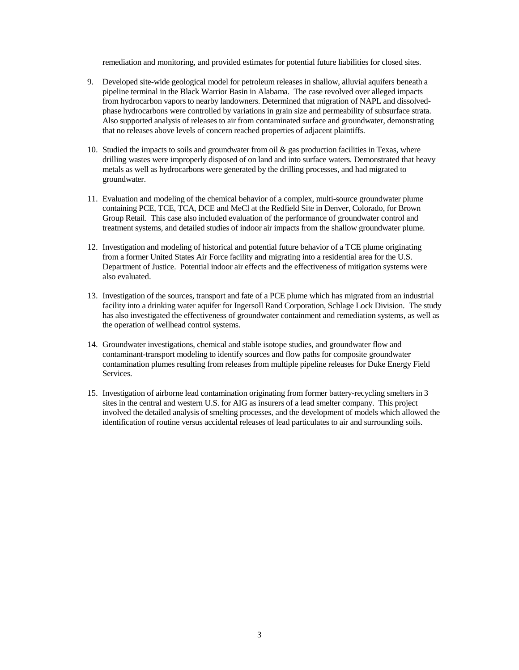remediation and monitoring, and provided estimates for potential future liabilities for closed sites.

- 9. Developed site-wide geological model for petroleum releases in shallow, alluvial aquifers beneath a pipeline terminal in the Black Warrior Basin in Alabama. The case revolved over alleged impacts from hydrocarbon vapors to nearby landowners. Determined that migration of NAPL and dissolvedphase hydrocarbons were controlled by variations in grain size and permeability of subsurface strata. Also supported analysis of releases to air from contaminated surface and groundwater, demonstrating that no releases above levels of concern reached properties of adjacent plaintiffs.
- 10. Studied the impacts to soils and groundwater from oil & gas production facilities in Texas, where drilling wastes were improperly disposed of on land and into surface waters. Demonstrated that heavy metals as well as hydrocarbons were generated by the drilling processes, and had migrated to groundwater.
- 11. Evaluation and modeling of the chemical behavior of a complex, multi-source groundwater plume containing PCE, TCE, TCA, DCE and MeCl at the Redfield Site in Denver, Colorado, for Brown Group Retail. This case also included evaluation of the performance of groundwater control and treatment systems, and detailed studies of indoor air impacts from the shallow groundwater plume.
- 12. Investigation and modeling of historical and potential future behavior of a TCE plume originating from a former United States Air Force facility and migrating into a residential area for the U.S. Department of Justice. Potential indoor air effects and the effectiveness of mitigation systems were also evaluated.
- 13. Investigation of the sources, transport and fate of a PCE plume which has migrated from an industrial facility into a drinking water aquifer for Ingersoll Rand Corporation, Schlage Lock Division. The study has also investigated the effectiveness of groundwater containment and remediation systems, as well as the operation of wellhead control systems.
- 14. Groundwater investigations, chemical and stable isotope studies, and groundwater flow and contaminant-transport modeling to identify sources and flow paths for composite groundwater contamination plumes resulting from releases from multiple pipeline releases for Duke Energy Field Services.
- 15. Investigation of airborne lead contamination originating from former battery-recycling smelters in 3 sites in the central and western U.S. for AIG as insurers of a lead smelter company. This project involved the detailed analysis of smelting processes, and the development of models which allowed the identification of routine versus accidental releases of lead particulates to air and surrounding soils.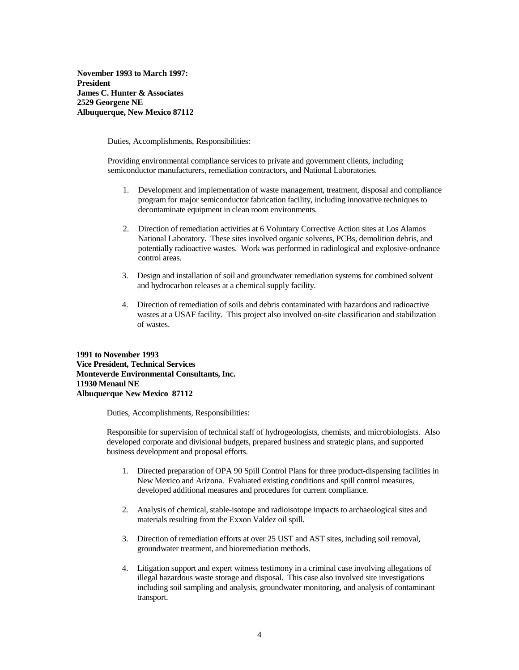**November 1993 to March 1997: President James C. Hunter & Associates 2529 Georgene NE Albuquerque, New Mexico 87112**

Duties, Accomplishments, Responsibilities:

Providing environmental compliance services to private and government clients, including semiconductor manufacturers, remediation contractors, and National Laboratories.

- 1. Development and implementation of waste management, treatment, disposal and compliance program for major semiconductor fabrication facility, including innovative techniques to decontaminate equipment in clean room environments.
- 2. Direction of remediation activities at 6 Voluntary Corrective Action sites at Los Alamos National Laboratory. These sites involved organic solvents, PCBs, demolition debris, and potentially radioactive wastes. Work was performed in radiological and explosive-ordnance control areas.
- 3. Design and installation of soil and groundwater remediation systems for combined solvent and hydrocarbon releases at a chemical supply facility.
- 4. Direction of remediation of soils and debris contaminated with hazardous and radioactive wastes at a USAF facility. This project also involved on-site classification and stabilization of wastes.

**1991 to November 1993 Vice President, Technical Services Monteverde Environmental Consultants, Inc. 11930 Menaul NE Albuquerque New Mexico 87112**

Duties, Accomplishments, Responsibilities:

Responsible for supervision of technical staff of hydrogeologists, chemists, and microbiologists. Also developed corporate and divisional budgets, prepared business and strategic plans, and supported business development and proposal efforts.

- 1. Directed preparation of OPA 90 Spill Control Plans for three product-dispensing facilities in New Mexico and Arizona. Evaluated existing conditions and spill control measures, developed additional measures and procedures for current compliance.
- 2. Analysis of chemical, stable-isotope and radioisotope impacts to archaeological sites and materials resulting from the Exxon Valdez oil spill.
- 3. Direction of remediation efforts at over 25 UST and AST sites, including soil removal, groundwater treatment, and bioremediation methods.
- 4. Litigation support and expert witness testimony in a criminal case involving allegations of illegal hazardous waste storage and disposal. This case also involved site investigations including soil sampling and analysis, groundwater monitoring, and analysis of contaminant transport.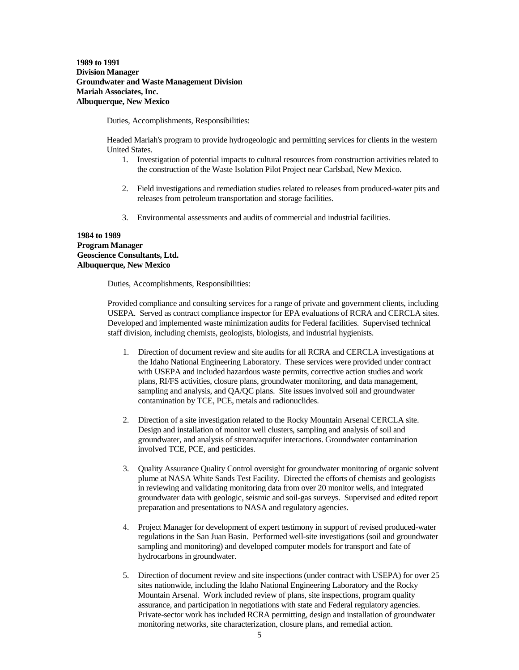**1989 to 1991 Division Manager Groundwater and Waste Management Division Mariah Associates, Inc. Albuquerque, New Mexico**

Duties, Accomplishments, Responsibilities:

Headed Mariah's program to provide hydrogeologic and permitting services for clients in the western United States.

- 1. Investigation of potential impacts to cultural resources from construction activities related to the construction of the Waste Isolation Pilot Project near Carlsbad, New Mexico.
- 2. Field investigations and remediation studies related to releases from produced-water pits and releases from petroleum transportation and storage facilities.
- 3. Environmental assessments and audits of commercial and industrial facilities.

## **1984 to 1989 Program Manager Geoscience Consultants, Ltd. Albuquerque, New Mexico**

Duties, Accomplishments, Responsibilities:

Provided compliance and consulting services for a range of private and government clients, including USEPA. Served as contract compliance inspector for EPA evaluations of RCRA and CERCLA sites. Developed and implemented waste minimization audits for Federal facilities. Supervised technical staff division, including chemists, geologists, biologists, and industrial hygienists.

- 1. Direction of document review and site audits for all RCRA and CERCLA investigations at the Idaho National Engineering Laboratory. These services were provided under contract with USEPA and included hazardous waste permits, corrective action studies and work plans, RI/FS activities, closure plans, groundwater monitoring, and data management, sampling and analysis, and QA/QC plans. Site issues involved soil and groundwater contamination by TCE, PCE, metals and radionuclides.
- 2. Direction of a site investigation related to the Rocky Mountain Arsenal CERCLA site. Design and installation of monitor well clusters, sampling and analysis of soil and groundwater, and analysis of stream/aquifer interactions. Groundwater contamination involved TCE, PCE, and pesticides.
- 3. Quality Assurance Quality Control oversight for groundwater monitoring of organic solvent plume at NASA White Sands Test Facility. Directed the efforts of chemists and geologists in reviewing and validating monitoring data from over 20 monitor wells, and integrated groundwater data with geologic, seismic and soil-gas surveys. Supervised and edited report preparation and presentations to NASA and regulatory agencies.
- 4. Project Manager for development of expert testimony in support of revised produced-water regulations in the San Juan Basin. Performed well-site investigations (soil and groundwater sampling and monitoring) and developed computer models for transport and fate of hydrocarbons in groundwater.
- 5. Direction of document review and site inspections (under contract with USEPA) for over 25 sites nationwide, including the Idaho National Engineering Laboratory and the Rocky Mountain Arsenal. Work included review of plans, site inspections, program quality assurance, and participation in negotiations with state and Federal regulatory agencies. Private-sector work has included RCRA permitting, design and installation of groundwater monitoring networks, site characterization, closure plans, and remedial action.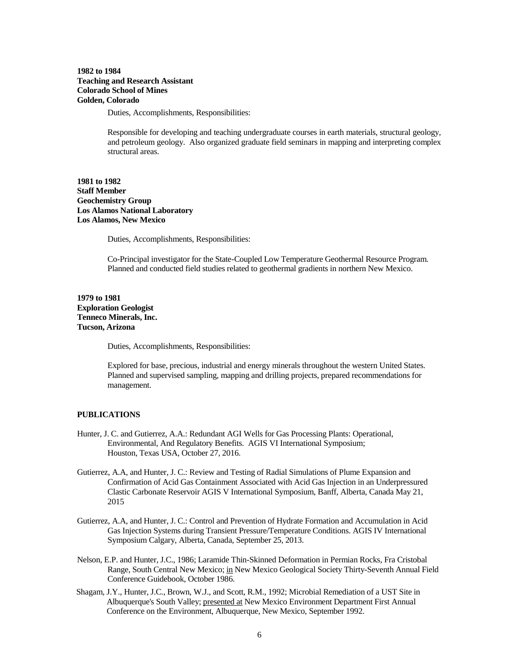# **1982 to 1984 Teaching and Research Assistant Colorado School of Mines Golden, Colorado**

Duties, Accomplishments, Responsibilities:

Responsible for developing and teaching undergraduate courses in earth materials, structural geology, and petroleum geology. Also organized graduate field seminars in mapping and interpreting complex structural areas.

**1981 to 1982 Staff Member Geochemistry Group Los Alamos National Laboratory Los Alamos, New Mexico**

Duties, Accomplishments, Responsibilities:

Co-Principal investigator for the State-Coupled Low Temperature Geothermal Resource Program. Planned and conducted field studies related to geothermal gradients in northern New Mexico.

# **1979 to 1981 Exploration Geologist Tenneco Minerals, Inc. Tucson, Arizona**

Duties, Accomplishments, Responsibilities:

Explored for base, precious, industrial and energy minerals throughout the western United States. Planned and supervised sampling, mapping and drilling projects, prepared recommendations for management.

## **PUBLICATIONS**

- Hunter, J. C. and Gutierrez, A.A.: Redundant AGI Wells for Gas Processing Plants: Operational, Environmental, And Regulatory Benefits. AGIS VI International Symposium; Houston, Texas USA, October 27, 2016.
- Gutierrez, A.A, and Hunter, J. C.: Review and Testing of Radial Simulations of Plume Expansion and Confirmation of Acid Gas Containment Associated with Acid Gas Injection in an Underpressured Clastic Carbonate Reservoir AGIS V International Symposium, Banff, Alberta, Canada May 21, 2015
- Gutierrez, A.A, and Hunter, J. C.: Control and Prevention of Hydrate Formation and Accumulation in Acid Gas Injection Systems during Transient Pressure/Temperature Conditions. AGIS IV International Symposium Calgary, Alberta, Canada, September 25, 2013.
- Nelson, E.P. and Hunter, J.C., 1986; Laramide Thin-Skinned Deformation in Permian Rocks, Fra Cristobal Range, South Central New Mexico; in New Mexico Geological Society Thirty-Seventh Annual Field Conference Guidebook, October 1986.
- Shagam, J.Y., Hunter, J.C., Brown, W.J., and Scott, R.M., 1992; Microbial Remediation of a UST Site in Albuquerque's South Valley; presented at New Mexico Environment Department First Annual Conference on the Environment, Albuquerque, New Mexico, September 1992.